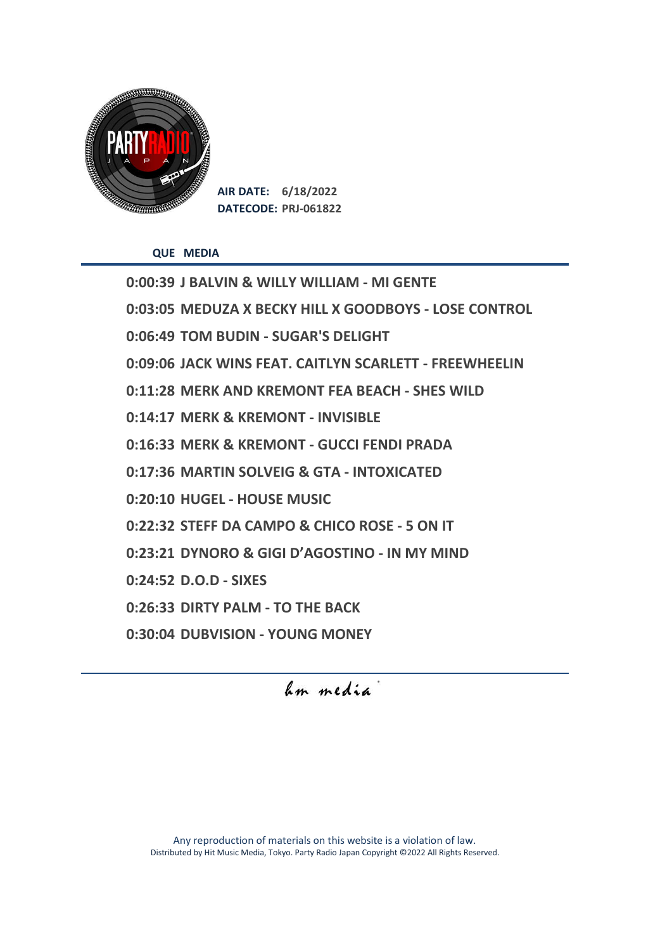

**AIR DATE: 6/18/2022 DATECODE: PRJ-061822**

**QUE MEDIA**

**0:00:39 J BALVIN & WILLY WILLIAM - MI GENTE 0:03:05 MEDUZA X BECKY HILL X GOODBOYS - LOSE CONTROL 0:06:49 TOM BUDIN - SUGAR'S DELIGHT 0:09:06 JACK WINS FEAT. CAITLYN SCARLETT - FREEWHEELIN 0:11:28 MERK AND KREMONT FEA BEACH - SHES WILD 0:14:17 MERK & KREMONT - INVISIBLE 0:16:33 MERK & KREMONT - GUCCI FENDI PRADA 0:17:36 MARTIN SOLVEIG & GTA - INTOXICATED 0:20:10 HUGEL - HOUSE MUSIC 0:22:32 STEFF DA CAMPO & CHICO ROSE - 5 ON IT 0:23:21 DYNORO & GIGI D'AGOSTINO - IN MY MIND 0:24:52 D.O.D - SIXES 0:26:33 DIRTY PALM - TO THE BACK 0:30:04 DUBVISION - YOUNG MONEY**

hm media